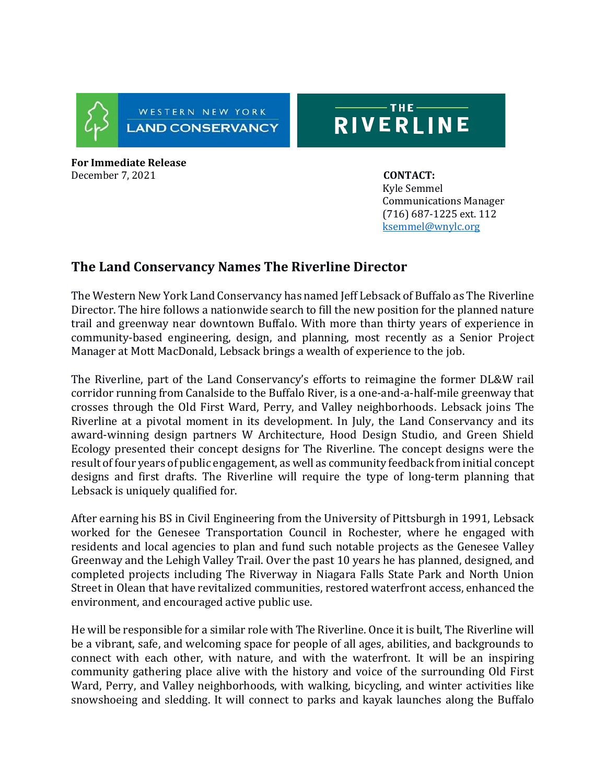

## $-THE =$ RIVERLINE

**For Immediate Release**  December 7, 2021 **CONTACT:** 

 Kyle Semmel Communications Manager (716) 687-1225 ext. 112 [ksemmel@wnylc.org](mailto:ksemmel@wnylc.org) 

## **The Land Conservancy Names The Riverline Director**

The Western New York Land Conservancy has named Jeff Lebsack of Buffalo as The Riverline Director. The hire follows a nationwide search to fill the new position for the planned nature trail and greenway near downtown Buffalo. With more than thirty years of experience in community-based engineering, design, and planning, most recently as a Senior Project Manager at Mott MacDonald, Lebsack brings a wealth of experience to the job.

The Riverline, part of the Land Conservancy's efforts to reimagine the former DL&W rail corridor running from Canalside to the Buffalo River, is a one-and-a-half-mile greenway that crosses through the Old First Ward, Perry, and Valley neighborhoods. Lebsack joins The Riverline at a pivotal moment in its development. In July, the Land Conservancy and its award-winning design partners W Architecture, Hood Design Studio, and Green Shield Ecology presented their concept designs for The Riverline. The concept designs were the result of four years of public engagement, as well as community feedback from initial concept designs and first drafts. The Riverline will require the type of long-term planning that Lebsack is uniquely qualified for.

After earning his BS in Civil Engineering from the University of Pittsburgh in 1991, Lebsack worked for the Genesee Transportation Council in Rochester, where he engaged with residents and local agencies to plan and fund such notable projects as the Genesee Valley Greenway and the Lehigh Valley Trail. Over the past 10 years he has planned, designed, and completed projects including The Riverway in Niagara Falls State Park and North Union Street in Olean that have revitalized communities, restored waterfront access, enhanced the environment, and encouraged active public use.

He will be responsible for a similar role with The Riverline. Once it is built, The Riverline will be a vibrant, safe, and welcoming space for people of all ages, abilities, and backgrounds to connect with each other, with nature, and with the waterfront. It will be an inspiring community gathering place alive with the history and voice of the surrounding Old First Ward, Perry, and Valley neighborhoods, with walking, bicycling, and winter activities like snowshoeing and sledding. It will connect to parks and kayak launches along the Buffalo